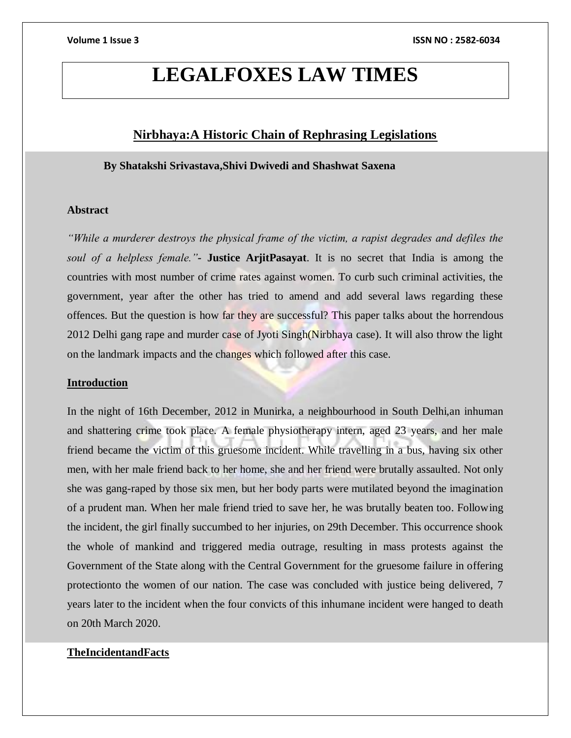# **LEGALFOXES LAW TIMES**

# **Nirbhaya:A Historic Chain of Rephrasing Legislations**

# **By Shatakshi Srivastava,Shivi Dwivedi and Shashwat Saxena**

# **Abstract**

*"While a murderer destroys the physical frame of the victim, a rapist degrades and defiles the soul of a helpless female."-* **Justice ArjitPasayat**. It is no secret that India is among the countries with most number of crime rates against women. To curb such criminal activities, the government, year after the other has tried to amend and add several laws regarding these offences. But the question is how far they are successful? This paper talks about the horrendous 2012 Delhi gang rape and murder case of Jyoti Singh(Nirbhaya case). It will also throw the light on the landmark impacts and the changes which followed after this case.

#### **Introduction**

In the night of 16th December, 2012 in Munirka, a neighbourhood in South Delhi,an inhuman and shattering crime took place. A female physiotherapy intern, aged 23 years, and her male friend became the victim of this gruesome incident. While travelling in a bus, having six other men, with her male friend back to her home, she and her friend were brutally assaulted. Not only she was gang-raped by those six men, but her body parts were mutilated beyond the imagination of a prudent man. When her male friend tried to save her, he was brutally beaten too. Following the incident, the girl finally succumbed to her injuries, on 29th December. This occurrence shook the whole of mankind and triggered media outrage, resulting in mass protests against the Government of the State along with the Central Government for the gruesome failure in offering protectionto the women of our nation. The case was concluded with justice being delivered, 7 years later to the incident when the four convicts of this inhumane incident were hanged to death on 20th March 2020.

# **TheIncidentandFacts**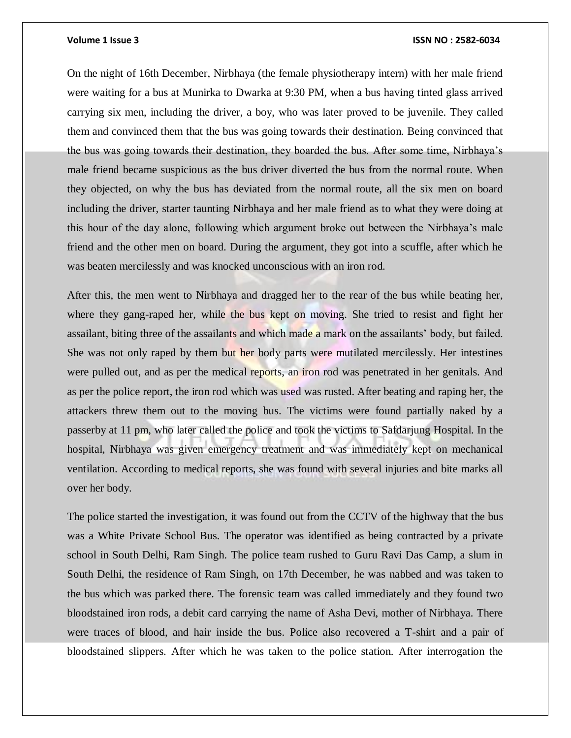On the night of 16th December, Nirbhaya (the female physiotherapy intern) with her male friend were waiting for a bus at Munirka to Dwarka at 9:30 PM, when a bus having tinted glass arrived carrying six men, including the driver, a boy, who was later proved to be juvenile. They called them and convinced them that the bus was going towards their destination. Being convinced that the bus was going towards their destination, they boarded the bus. After some time, Nirbhaya's male friend became suspicious as the bus driver diverted the bus from the normal route. When they objected, on why the bus has deviated from the normal route, all the six men on board including the driver, starter taunting Nirbhaya and her male friend as to what they were doing at this hour of the day alone, following which argument broke out between the Nirbhaya's male friend and the other men on board. During the argument, they got into a scuffle, after which he was beaten mercilessly and was knocked unconscious with an iron rod.

After this, the men went to Nirbhaya and dragged her to the rear of the bus while beating her, where they gang-raped her, while the bus kept on moving. She tried to resist and fight her assailant, biting three of the assailants and which made a mark on the assailants' body, but failed. She was not only raped by them but her body parts were mutilated mercilessly. Her intestines were pulled out, and as per the medical reports, an iron rod was penetrated in her genitals. And as per the police report, the iron rod which was used was rusted. After beating and raping her, the attackers threw them out to the moving bus. The victims were found partially naked by a passerby at 11 pm, who later called the police and took the victims to Safdarjung Hospital. In the hospital, Nirbhaya was given emergency treatment and was immediately kept on mechanical ventilation. According to medical reports, she was found with several injuries and bite marks all over her body.

The police started the investigation, it was found out from the CCTV of the highway that the bus was a White Private School Bus. The operator was identified as being contracted by a private school in South Delhi, Ram Singh. The police team rushed to Guru Ravi Das Camp, a slum in South Delhi, the residence of Ram Singh, on 17th December, he was nabbed and was taken to the bus which was parked there. The forensic team was called immediately and they found two bloodstained iron rods, a debit card carrying the name of Asha Devi, mother of Nirbhaya. There were traces of blood, and hair inside the bus. Police also recovered a T-shirt and a pair of bloodstained slippers. After which he was taken to the police station. After interrogation the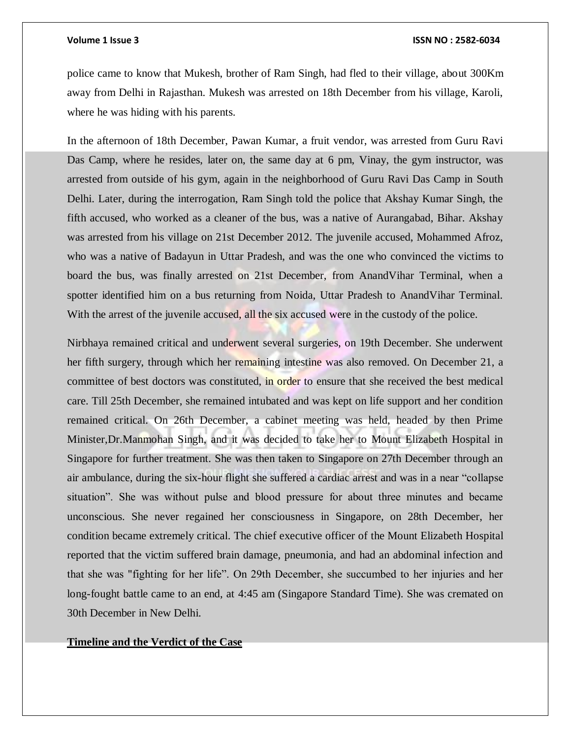police came to know that Mukesh, brother of Ram Singh, had fled to their village, about 300Km away from Delhi in Rajasthan. Mukesh was arrested on 18th December from his village, Karoli, where he was hiding with his parents.

In the afternoon of 18th December, Pawan Kumar, a fruit vendor, was arrested from Guru Ravi Das Camp, where he resides, later on, the same day at 6 pm, Vinay, the gym instructor, was arrested from outside of his gym, again in the neighborhood of Guru Ravi Das Camp in South Delhi. Later, during the interrogation, Ram Singh told the police that Akshay Kumar Singh, the fifth accused, who worked as a cleaner of the bus, was a native of Aurangabad, Bihar. Akshay was arrested from his village on 21st December 2012. The juvenile accused, Mohammed Afroz, who was a native of Badayun in Uttar Pradesh, and was the one who convinced the victims to board the bus, was finally arrested on 21st December, from AnandVihar Terminal, when a spotter identified him on a bus returning from Noida, Uttar Pradesh to AnandVihar Terminal. With the arrest of the juvenile accused, all the six accused were in the custody of the police.

Nirbhaya remained critical and underwent several surgeries, on 19th December. She underwent her fifth surgery, through which her remaining intestine was also removed. On December 21, a committee of best doctors was constituted, in order to ensure that she received the best medical care. Till 25th December, she remained intubated and was kept on life support and her condition remained critical. On 26th December, a cabinet meeting was held, headed by then Prime Minister,Dr.Manmohan Singh, and it was decided to take her to Mount Elizabeth Hospital in Singapore for further treatment. She was then taken to Singapore on 27th December through an air ambulance, during the six-hour flight she suffered a cardiac arrest and was in a near "collapse situation". She was without pulse and blood pressure for about three minutes and became unconscious. She never regained her consciousness in Singapore, on 28th December, her condition became extremely critical. The chief executive officer of the Mount Elizabeth Hospital reported that the victim suffered brain damage, pneumonia, and had an abdominal infection and that she was "fighting for her life". On 29th December, she succumbed to her injuries and her long-fought battle came to an end, at 4:45 am (Singapore Standard Time). She was cremated on 30th December in New Delhi.

#### **Timeline and the Verdict of the Case**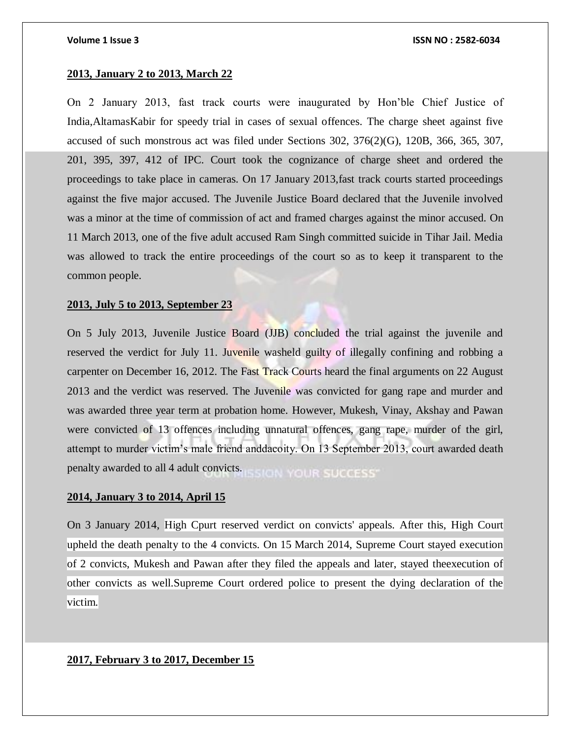### **2013, January 2 to 2013, March 22**

On 2 January 2013, fast track courts were inaugurated by Hon'ble Chief Justice of India,AltamasKabir for speedy trial in cases of sexual offences. The charge sheet against five accused of such monstrous act was filed under Sections 302, 376(2)(G), 120B, 366, 365, 307, 201, 395, 397, 412 of IPC. Court took the cognizance of charge sheet and ordered the proceedings to take place in cameras. On 17 January 2013,fast track courts started proceedings against the five major accused. The Juvenile Justice Board declared that the Juvenile involved was a minor at the time of commission of act and framed charges against the minor accused. On 11 March 2013, one of the five adult accused Ram Singh committed suicide in Tihar Jail. Media was allowed to track the entire proceedings of the court so as to keep it transparent to the common people.

#### **2013, July 5 to 2013, September 23**

On 5 July 2013, Juvenile Justice Board (JJB) concluded the trial against the juvenile and reserved the verdict for July 11. Juvenile washeld guilty of illegally confining and robbing a carpenter on December 16, 2012. The Fast Track Courts heard the final arguments on 22 August 2013 and the verdict was reserved. The Juvenile was convicted for gang rape and murder and was awarded three year term at probation home. However, Mukesh, Vinay, Akshay and Pawan were convicted of 13 offences including unnatural offences, gang rape, murder of the girl, attempt to murder victim's male friend anddacoity. On 13 September 2013, court awarded death penalty awarded to all 4 adult convicts.

### **2014, January 3 to 2014, April 15**

On 3 January 2014, High Cpurt reserved verdict on convicts' appeals. After this, High Court upheld the death penalty to the 4 convicts. On 15 March 2014, Supreme Court stayed execution of 2 convicts, Mukesh and Pawan after they filed the appeals and later, stayed theexecution of other convicts as well.Supreme Court ordered police to present the dying declaration of the victim.

### **2017, February 3 to 2017, December 15**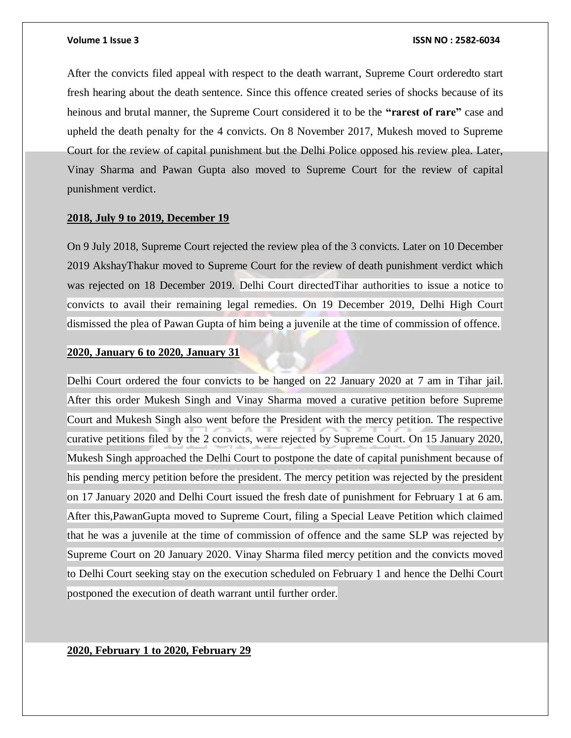After the convicts filed appeal with respect to the death warrant, Supreme Court orderedto start fresh hearing about the death sentence. Since this offence created series of shocks because of its heinous and brutal manner, the Supreme Court considered it to be the **"rarest of rare"** case and upheld the death penalty for the 4 convicts. On 8 November 2017, Mukesh moved to Supreme Court for the review of capital punishment but the Delhi Police opposed his review plea. Later, Vinay Sharma and Pawan Gupta also moved to Supreme Court for the review of capital punishment verdict.

### **2018, July 9 to 2019, December 19**

On 9 July 2018, Supreme Court rejected the review plea of the 3 convicts. Later on 10 December 2019 AkshayThakur moved to Supreme Court for the review of death punishment verdict which was rejected on 18 December 2019. Delhi Court directedTihar authorities to issue a notice to convicts to avail their remaining legal remedies. On 19 December 2019, Delhi High Court dismissed the plea of Pawan Gupta of him being a juvenile at the time of commission of offence.

### **2020, January 6 to 2020, January 31**

Delhi Court ordered the four convicts to be hanged on 22 January 2020 at 7 am in Tihar jail. After this order Mukesh Singh and Vinay Sharma moved a curative petition before Supreme Court and Mukesh Singh also went before the President with the mercy petition. The respective curative petitions filed by the 2 convicts, were rejected by Supreme Court. On 15 January 2020, Mukesh Singh approached the Delhi Court to postpone the date of capital punishment because of his pending mercy petition before the president. The mercy petition was rejected by the president on 17 January 2020 and Delhi Court issued the fresh date of punishment for February 1 at 6 am. After this,PawanGupta moved to Supreme Court, filing a Special Leave Petition which claimed that he was a juvenile at the time of commission of offence and the same SLP was rejected by Supreme Court on 20 January 2020. Vinay Sharma filed mercy petition and the convicts moved to Delhi Court seeking stay on the execution scheduled on February 1 and hence the Delhi Court postponed the execution of death warrant until further order.

## **2020, February 1 to 2020, February 29**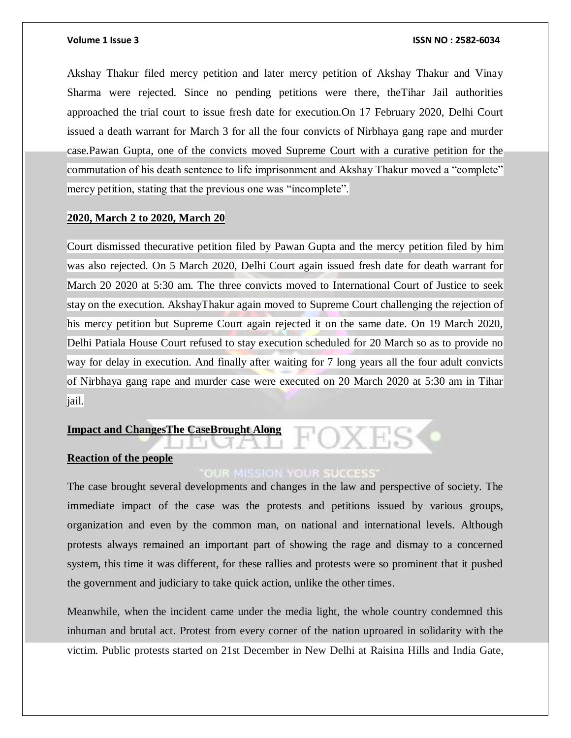Akshay Thakur filed mercy petition and later mercy petition of Akshay Thakur and Vinay Sharma were rejected. Since no pending petitions were there, theTihar Jail authorities approached the trial court to issue fresh date for execution.On 17 February 2020, Delhi Court issued a death warrant for March 3 for all the four convicts of Nirbhaya gang rape and murder case.Pawan Gupta, one of the convicts moved Supreme Court with a curative petition for the commutation of his death sentence to life imprisonment and Akshay Thakur moved a "complete" mercy petition, stating that the previous one was "incomplete".

### **2020, March 2 to 2020, March 20**

Court dismissed thecurative petition filed by Pawan Gupta and the mercy petition filed by him was also rejected. On 5 March 2020, Delhi Court again issued fresh date for death warrant for March 20 2020 at 5:30 am. The three convicts moved to International Court of Justice to seek stay on the execution. AkshayThakur again moved to Supreme Court challenging the rejection of his mercy petition but Supreme Court again rejected it on the same date. On 19 March 2020, Delhi Patiala House Court refused to stay execution scheduled for 20 March so as to provide no way for delay in execution. And finally after waiting for 7 long years all the four adult convicts of Nirbhaya gang rape and murder case were executed on 20 March 2020 at 5:30 am in Tihar jail.

### **Impact and ChangesThe CaseBrought Along**

# **Reaction of the people**

# **OUR MISSION YOUR SUCCESS**

The case brought several developments and changes in the law and perspective of society. The immediate impact of the case was the protests and petitions issued by various groups, organization and even by the common man, on national and international levels. Although protests always remained an important part of showing the rage and dismay to a concerned system, this time it was different, for these rallies and protests were so prominent that it pushed the government and judiciary to take quick action, unlike the other times.

Meanwhile, when the incident came under the media light, the whole country condemned this inhuman and brutal act. Protest from every corner of the nation uproared in solidarity with the victim. Public protests started on 21st December in New Delhi at Raisina Hills and India Gate,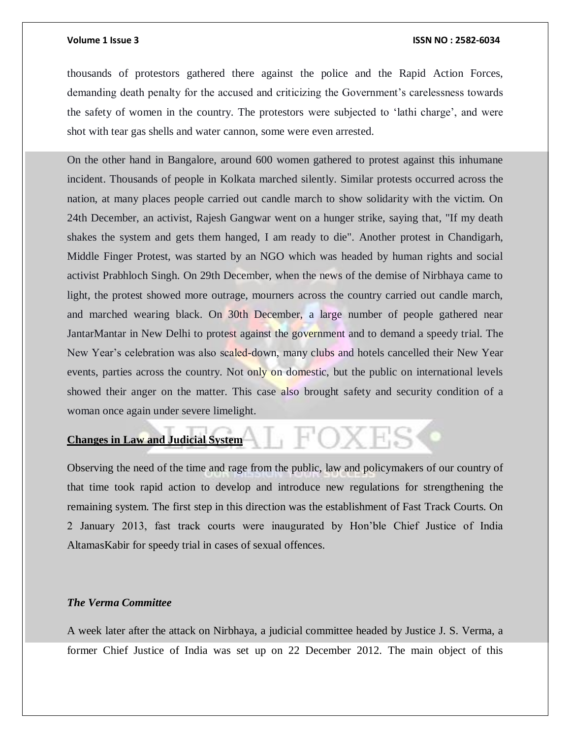thousands of protestors gathered there against the police and the Rapid Action Forces, demanding death penalty for the accused and criticizing the Government's carelessness towards the safety of women in the country. The protestors were subjected to 'lathi charge', and were shot with tear gas shells and water cannon, some were even arrested.

On the other hand in Bangalore, around 600 women gathered to protest against this inhumane incident. Thousands of people in Kolkata marched silently. Similar protests occurred across the nation, at many places people carried out candle march to show solidarity with the victim. On 24th December, an activist, Rajesh Gangwar went on a hunger strike, saying that, "If my death shakes the system and gets them hanged, I am ready to die". Another protest in Chandigarh, Middle Finger Protest, was started by an NGO which was headed by human rights and social activist Prabhloch Singh. On 29th December, when the news of the demise of Nirbhaya came to light, the protest showed more outrage, mourners across the country carried out candle march, and marched wearing black. On 30th December, a large number of people gathered near JantarMantar in New Delhi to protest against the government and to demand a speedy trial. The New Year's celebration was also scaled-down, many clubs and hotels cancelled their New Year events, parties across the country. Not only on domestic, but the public on international levels showed their anger on the matter. This case also brought safety and security condition of a woman once again under severe limelight.

**Changes in Law and Judicial System**

Observing the need of the time and rage from the public, law and policymakers of our country of that time took rapid action to develop and introduce new regulations for strengthening the remaining system. The first step in this direction was the establishment of Fast Track Courts. On 2 January 2013, fast track courts were inaugurated by Hon'ble Chief Justice of India AltamasKabir for speedy trial in cases of sexual offences.

, FOXE

### *The Verma Committee*

A week later after the attack on Nirbhaya, a judicial committee headed by Justice J. S. Verma, a former Chief Justice of India was set up on 22 December 2012. The main object of this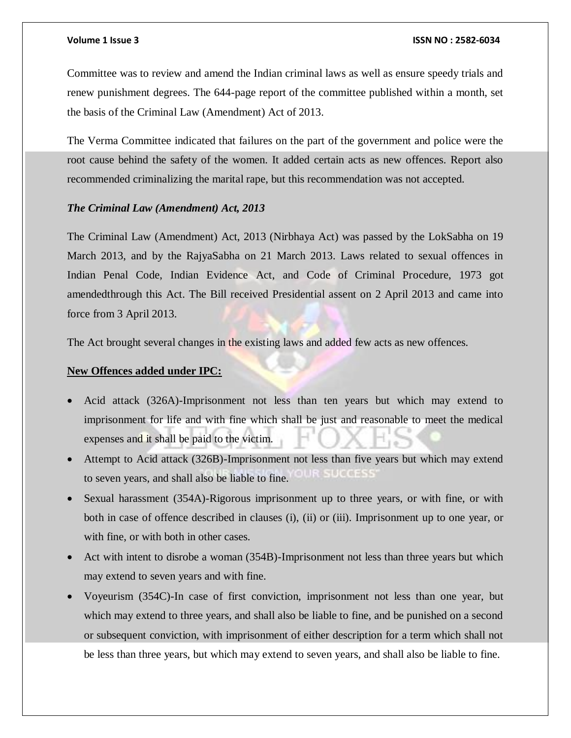Committee was to review and amend the Indian criminal laws as well as ensure speedy trials and renew punishment degrees. The 644-page report of the committee published within a month, set the basis of the Criminal Law (Amendment) Act of 2013.

The Verma Committee indicated that failures on the part of the government and police were the root cause behind the safety of the women. It added certain acts as new offences. Report also recommended criminalizing the marital rape, but this recommendation was not accepted.

### *The Criminal Law (Amendment) Act, 2013*

The Criminal Law (Amendment) Act, 2013 (Nirbhaya Act) was passed by the LokSabha on 19 March 2013, and by the RajyaSabha on 21 March 2013. Laws related to sexual offences in Indian Penal Code, Indian Evidence Act, and Code of Criminal Procedure, 1973 got amendedthrough this Act. The Bill received Presidential assent on 2 April 2013 and came into force from 3 April 2013.

The Act brought several changes in the existing laws and added few acts as new offences.

#### **New Offences added under IPC:**

- Acid attack (326A)-Imprisonment not less than ten years but which may extend to imprisonment for life and with fine which shall be just and reasonable to meet the medical expenses and it shall be paid to the victim.
- Attempt to Acid attack (326B)-Imprisonment not less than five years but which may extend to seven years, and shall also be liable to fine.
- Sexual harassment (354A)-Rigorous imprisonment up to three years, or with fine, or with both in case of offence described in clauses (i), (ii) or (iii). Imprisonment up to one year, or with fine, or with both in other cases.
- Act with intent to disrobe a woman (354B)-Imprisonment not less than three years but which may extend to seven years and with fine.
- Voyeurism (354C)-In case of first conviction, imprisonment not less than one year, but which may extend to three years, and shall also be liable to fine, and be punished on a second or subsequent conviction, with imprisonment of either description for a term which shall not be less than three years, but which may extend to seven years, and shall also be liable to fine.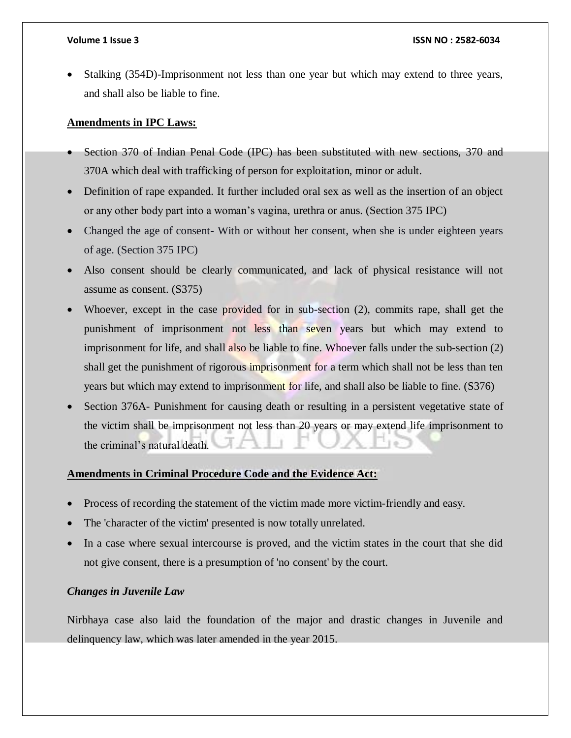Stalking (354D)-Imprisonment not less than one year but which may extend to three years, and shall also be liable to fine.

# **Amendments in IPC Laws:**

- Section 370 of Indian Penal Code (IPC) has been substituted with new sections, 370 and 370A which deal with trafficking of person for exploitation, minor or adult.
- Definition of rape expanded. It further included oral sex as well as the insertion of an object or any other body part into a woman's vagina, urethra or anus. (Section 375 IPC)
- Changed the age of consent- With or without her consent, when she is under eighteen years of age. (Section 375 IPC)
- Also consent should be clearly communicated, and lack of physical resistance will not assume as consent. (S375)
- Whoever, except in the case provided for in sub-section (2), commits rape, shall get the punishment of imprisonment not less than seven years but which may extend to imprisonment for life, and shall also be liable to fine. Whoever falls under the sub-section (2) shall get the punishment of rigorous imprisonment for a term which shall not be less than ten years but which may extend to imprisonment for life, and shall also be liable to fine. (S376)
- Section 376A- Punishment for causing death or resulting in a persistent vegetative state of the victim shall be imprisonment not less than 20 years or may extend life imprisonment to the criminal's natural death.

# **Amendments in Criminal Procedure Code and the Evidence Act:**

- Process of recording the statement of the victim made more victim-friendly and easy.
- The 'character of the victim' presented is now totally unrelated.
- In a case where sexual intercourse is proved, and the victim states in the court that she did not give consent, there is a presumption of 'no consent' by the court.

### *Changes in Juvenile Law*

Nirbhaya case also laid the foundation of the major and drastic changes in Juvenile and delinquency law, which was later amended in the year 2015.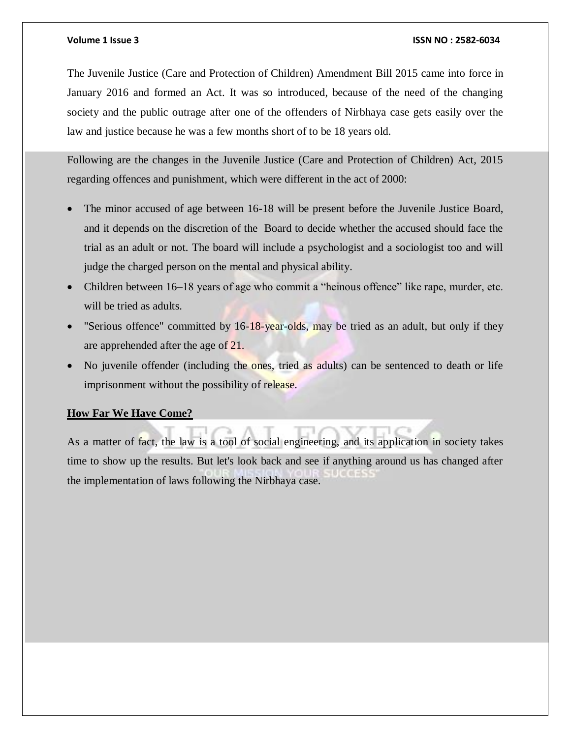The Juvenile Justice (Care and Protection of Children) Amendment Bill 2015 came into force in January 2016 and formed an Act. It was so introduced, because of the need of the changing society and the public outrage after one of the offenders of Nirbhaya case gets easily over the law and justice because he was a few months short of to be 18 years old.

Following are the changes in the Juvenile Justice (Care and Protection of Children) Act, 2015 regarding offences and punishment, which were different in the act of 2000:

- The minor accused of age between 16-18 will be present before the Juvenile Justice Board, and it depends on the discretion of the Board to decide whether the accused should face the trial as an adult or not. The board will include a psychologist and a sociologist too and will judge the charged person on the mental and physical ability.
- Children between 16–18 years of age who commit a "heinous offence" like rape, murder, etc. will be tried as adults.
- "Serious offence" committed by 16-18-year-olds, may be tried as an adult, but only if they are apprehended after the age of 21.
- No juvenile offender (including the ones, tried as adults) can be sentenced to death or life imprisonment without the possibility of release.

# **How Far We Have Come?**

As a matter of fact, the law is a tool of social engineering, and its application in society takes time to show up the results. But let's look back and see if anything around us has changed after the implementation of laws following the Nirbhaya case.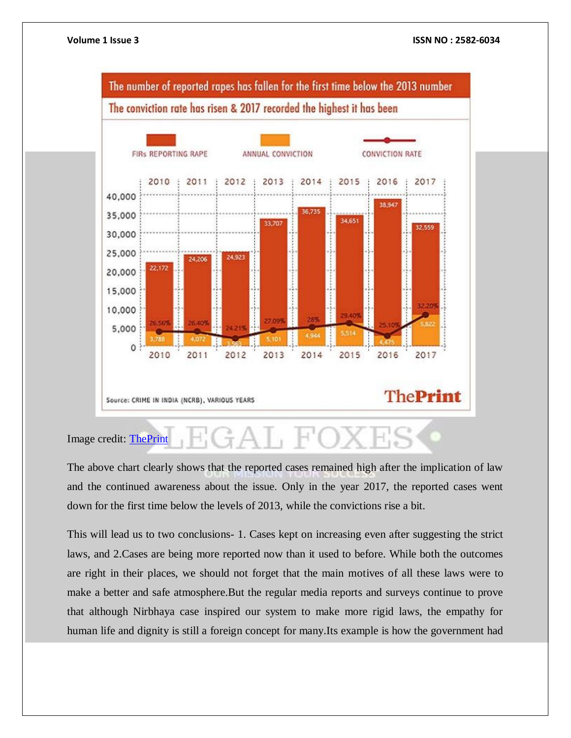

Image credit: [ThePrint](https://theprint.in/opinion/ncrbs-crime-data-is-a-mix-of-fact-fiction-shame-and-honour/310008/)

The above chart clearly shows that the reported cases remained high after the implication of law and the continued awareness about the issue. Only in the year 2017, the reported cases went down for the first time below the levels of 2013, while the convictions rise a bit.

This will lead us to two conclusions- 1. Cases kept on increasing even after suggesting the strict laws, and 2.Cases are being more reported now than it used to before. While both the outcomes are right in their places, we should not forget that the main motives of all these laws were to make a better and safe atmosphere.But the regular media reports and surveys continue to prove that although Nirbhaya case inspired our system to make more rigid laws, the empathy for human life and dignity is still a foreign concept for many.Its example is how the government had